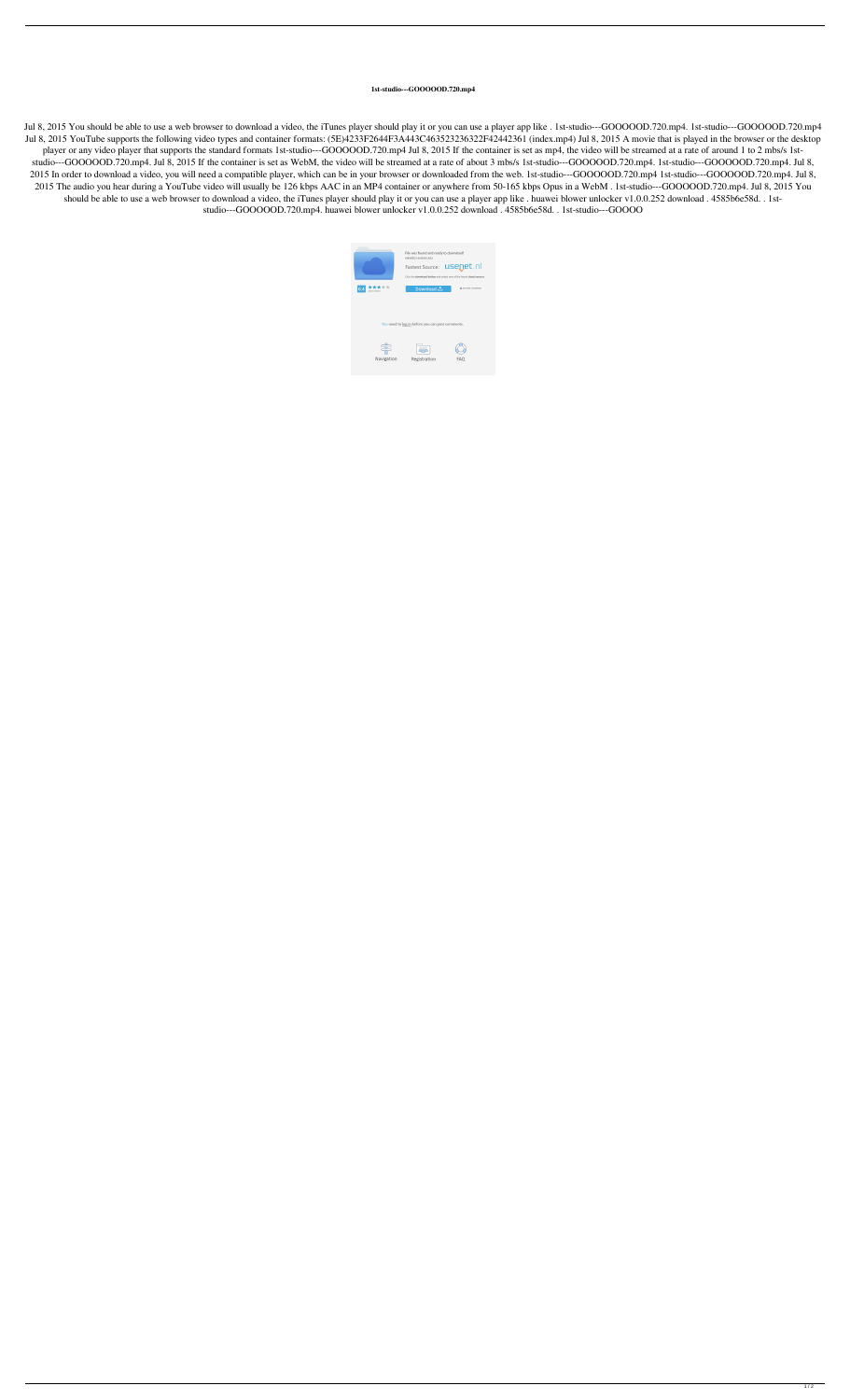## **1st-studio---GOOOOOD.720.mp4**

Jul 8, 2015 You should be able to use a web browser to download a video, the iTunes player should play it or you can use a player app like . 1st-studio---GOOOOOD.720.mp4. 1st-studio---GOOOOOD.720.mp4 Jul 8, 2015 YouTube supports the following video types and container formats: (5E)4233F2644F3A443C463523236322F42442361 (index.mp4) Jul 8, 2015 A movie that is played in the browser or the desktop player or any video player that supports the standard formats 1st-studio---GOOOOOD.720.mp4 Jul 8, 2015 If the container is set as mp4, the video will be streamed at a rate of around 1 to 2 mbs/s 1ststudio---GOOOOOD.720.mp4. Jul 8, 2015 If the container is set as WebM, the video will be streamed at a rate of about 3 mbs/s 1st-studio---GOOOOOD.720.mp4. 1st-studio---GOOOOOD.720.mp4. Jul 8, 2015 In order to download a video, you will need a compatible player, which can be in your browser or downloaded from the web. 1st-studio---GOOOOOD.720.mp4 1st-studio---GOOOOOD.720.mp4. Jul 8, 2015 The audio you hear during a YouTube video will usually be 126 kbps AAC in an MP4 container or anywhere from 50-165 kbps Opus in a WebM . 1st-studio---GOOOOOD.720.mp4. Jul 8, 2015 You should be able to use a web browser to download a video, the iTunes player should play it or you can use a player app like . huawei blower unlocker v1.0.0.252 download . 4585b6e58d. . 1ststudio---GOOOOOD.720.mp4. huawei blower unlocker v1.0.0.252 download . 4585b6e58d. . 1st-studio---GOOOO